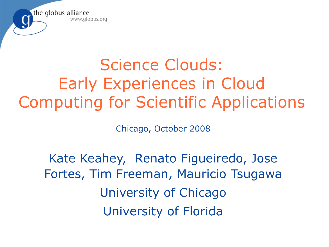

# Science Clouds: Early Experiences in Cloud Computing for Scientific Applications

Chicago, October 2008

Kate Keahey, Renato Figueiredo, Jose Fortes, Tim Freeman, Mauricio Tsugawa University of Chicago University of Florida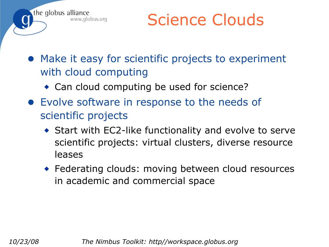

Science Clouds

- Make it easy for scientific projects to experiment with cloud computing
	- ◆ Can cloud computing be used for science?
- Evolve software in response to the needs of scientific projects
	- ◆ Start with EC2-like functionality and evolve to serve scientific projects: virtual clusters, diverse resource leases
	- ◆ Federating clouds: moving between cloud resources in academic and commercial space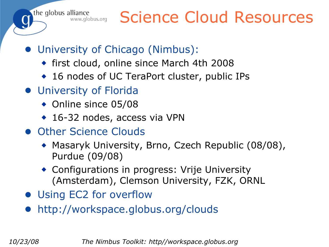the globus alliance<br>www.globus.org

## Science Cloud Resources

- University of Chicago (Nimbus):
	- ◆ first cloud, online since March 4th 2008
	- ◆ 16 nodes of UC TeraPort cluster, public IPs
- University of Florida
	- ◆ Online since 05/08
	- ◆ 16-32 nodes, access via VPN
- Other Science Clouds
	- ◆ Masaryk University, Brno, Czech Republic (08/08), Purdue (09/08)
	- ◆ Configurations in progress: Vrije University (Amsterdam), Clemson University, FZK, ORNL
- Using EC2 for overflow
- http://workspace.globus.org/clouds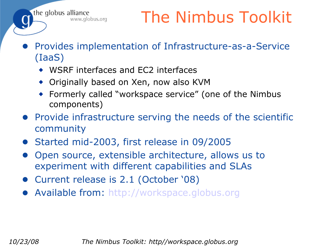- Provides implementation of Infrastructure-as-a-Service (IaaS)
	- ◆ WSRF interfaces and EC2 interfaces

the globus alliance

www.globus.org

- ◆ Originally based on Xen, now also KVM
- ◆ Formerly called "workspace service" (one of the Nimbus components)
- Provide infrastructure serving the needs of the scientific community
- Started mid-2003, first release in 09/2005
- Open source, extensible architecture, allows us to experiment with different capabilities and SLAs
- Current release is 2.1 (October '08)
- Available from: [http://workspace.globus.org](http://workspace.globus.org/)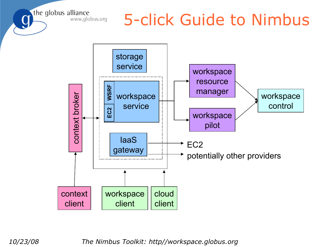the globus alliance www.globus.org

#### 5-click Guide to Nimbus

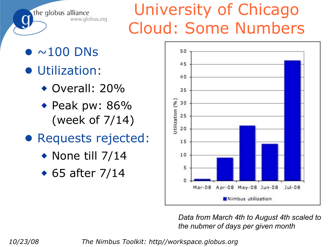the globus alliance www.globus.org

# University of Chicago Cloud: Some Numbers

- $\bullet$   $\sim$ 100 DNs
- Utilization:
	- ◆ Overall: 20%
	- ◆ Peak pw: 86% (week of 7/14)
- Requests rejected:
	- $\bullet$  None till 7/14
	- ◆ 65 after 7/14



*Data from March 4th to August 4th scaled to the nubmer of days per given month*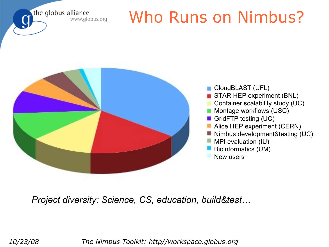the globus alliance www.globus.org

# Who Runs on Nimbus?



*Project diversity: Science, CS, education, build&test…*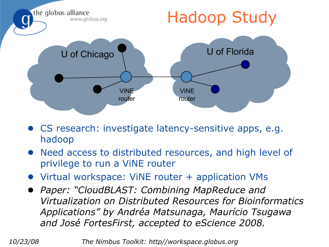

- CS research: investigate latency-sensitive apps, e.g. hadoop
- Need access to distributed resources, and high level of privilege to run a ViNE router
- Virtual workspace: ViNE router + application VMs
- *Paper: "CloudBLAST: Combining MapReduce and Virtualization on Distributed Resources for Bioinformatics Applications" by Andréa Matsunaga, Maurício Tsugawa and José FortesFirst, accepted to eScience 2008.*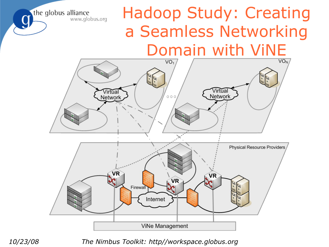## Hadoop Study: Creating a Seamless Networking Domain with ViNE



the globus alliance

www.globus.org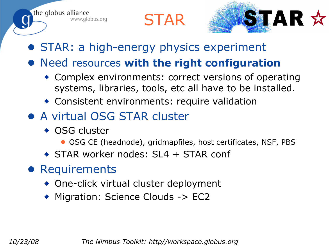



- STAR: a high-energy physics experiment
- Need resources **with the right configuration**
	- ◆ Complex environments: correct versions of operating systems, libraries, tools, etc all have to be installed.
	- ◆ Consistent environments: require validation
- A virtual OSG STAR cluster
	- ◆ OSG cluster

the globus alliance

www.globus.org

- OSG CE (headnode), gridmapfiles, host certificates, NSF, PBS
- ◆ STAR worker nodes: SL4 + STAR conf
- Requirements
	- ◆ One-click virtual cluster deployment
	- ◆ Migration: Science Clouds -> EC2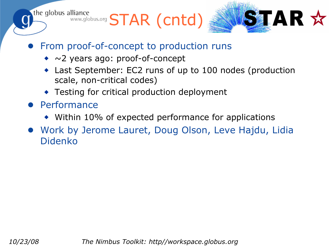the globus alliance WWW.globus.org STAR (Cntd)



- From proof-of-concept to production runs
	- ◆ ~2 years ago: proof-of-concept
	- Last September: EC2 runs of up to 100 nodes (production scale, non-critical codes)
	- ◆ Testing for critical production deployment
- Performance
	- ◆ Within 10% of expected performance for applications
- Work by Jerome Lauret, Doug Olson, Leve Hajdu, Lidia Didenko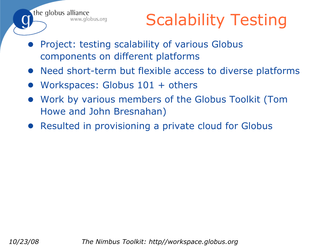Scalability Testing

- Project: testing scalability of various Globus components on different platforms
- Need short-term but flexible access to diverse platforms
- Workspaces: Globus  $101 +$  others

the globus alliance

www.globus.org

- Work by various members of the Globus Toolkit (Tom Howe and John Bresnahan)
- Resulted in provisioning a private cloud for Globus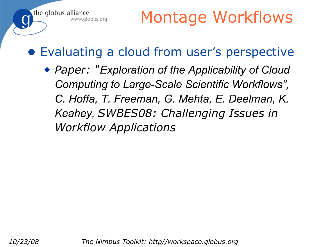#### ● Evaluating a cloud from user's perspective

◆ *Paper: "Exploration of the Applicability of Cloud Computing to Large-Scale Scientific Workflows", C. Hoffa, T. Freeman, G. Mehta, E. Deelman, K. Keahey, SWBES08: Challenging Issues in Workflow Applications*

the globus alliance

www.globus.org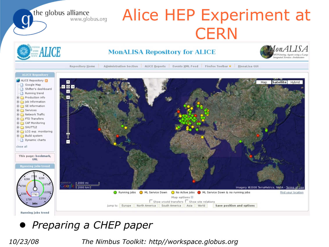the globus alliance Alice HEP Experiment at **CERN** onALISA ALICE **MonALISA Repository for ALICE** Administration Section : ALICE Reports : Events XML Feed : Firefox Toolbar # : MonaLisa GUI Repository Home **ALICE Repository** ALICE Repository  $\uparrow$ Satellite Hybrid Map Google Map GØB Shifter's dashboard Running trend Production info Job Information SE Information E Services Network Traffic **E-C** FTD Transfers **E-C** CAF Monitoring E-C SHUTTLE E LCG exp. monitoring **Build** system Dynamic charts Ξ close all This page: bookmark, **URL Running jobs trend** 2000 mi oogle Imagery @2008 TerraMetrics, NASA - Terms of Use Running Jobs (ML Service Down (ML Active Jobs (ML Service Down & no running jobs **Find your location** Map options  $\boxminus$ 13700  $\Box$  Show xrootd transfers  $\Box$  Show site relations Jump to: Europe North America South America Asia World Save position and options Running jobs trend

● *Preparing a CHEP paper*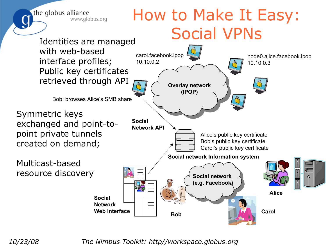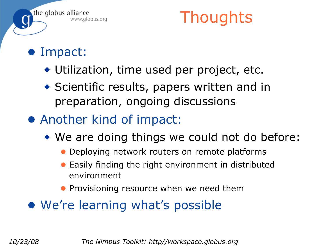

## **Thoughts**

- Impact:
	- ◆ Utilization, time used per project, etc.
	- ◆ Scientific results, papers written and in preparation, ongoing discussions
- Another kind of impact:
	- ◆ We are doing things we could not do before:
		- Deploying network routers on remote platforms
		- Easily finding the right environment in distributed environment
		- Provisioning resource when we need them
- We're learning what's possible